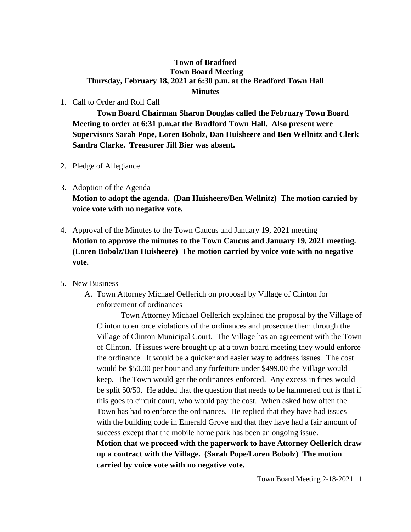## **Town of Bradford Town Board Meeting Thursday, February 18, 2021 at 6:30 p.m. at the Bradford Town Hall Minutes**

## 1. Call to Order and Roll Call

**Town Board Chairman Sharon Douglas called the February Town Board Meeting to order at 6:31 p.m.at the Bradford Town Hall. Also present were Supervisors Sarah Pope, Loren Bobolz, Dan Huisheere and Ben Wellnitz and Clerk Sandra Clarke. Treasurer Jill Bier was absent.**

- 2. Pledge of Allegiance
- 3. Adoption of the Agenda

**Motion to adopt the agenda. (Dan Huisheere/Ben Wellnitz) The motion carried by voice vote with no negative vote.**

- 4. Approval of the Minutes to the Town Caucus and January 19, 2021 meeting **Motion to approve the minutes to the Town Caucus and January 19, 2021 meeting. (Loren Bobolz/Dan Huisheere) The motion carried by voice vote with no negative vote.**
- 5. New Business
	- A. Town Attorney Michael Oellerich on proposal by Village of Clinton for enforcement of ordinances

**carried by voice vote with no negative vote.** 

Town Attorney Michael Oellerich explained the proposal by the Village of Clinton to enforce violations of the ordinances and prosecute them through the Village of Clinton Municipal Court. The Village has an agreement with the Town of Clinton. If issues were brought up at a town board meeting they would enforce the ordinance. It would be a quicker and easier way to address issues. The cost would be \$50.00 per hour and any forfeiture under \$499.00 the Village would keep. The Town would get the ordinances enforced. Any excess in fines would be split 50/50. He added that the question that needs to be hammered out is that if this goes to circuit court, who would pay the cost. When asked how often the Town has had to enforce the ordinances. He replied that they have had issues with the building code in Emerald Grove and that they have had a fair amount of success except that the mobile home park has been an ongoing issue. **Motion that we proceed with the paperwork to have Attorney Oellerich draw up a contract with the Village. (Sarah Pope/Loren Bobolz) The motion**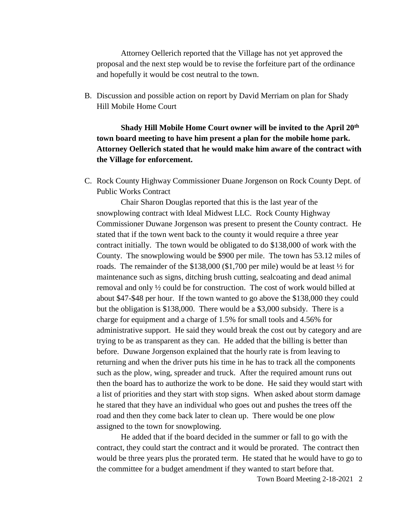Attorney Oellerich reported that the Village has not yet approved the proposal and the next step would be to revise the forfeiture part of the ordinance and hopefully it would be cost neutral to the town.

B. Discussion and possible action on report by David Merriam on plan for Shady Hill Mobile Home Court

**Shady Hill Mobile Home Court owner will be invited to the April 20th town board meeting to have him present a plan for the mobile home park. Attorney Oellerich stated that he would make him aware of the contract with the Village for enforcement.**

C. Rock County Highway Commissioner Duane Jorgenson on Rock County Dept. of Public Works Contract

Chair Sharon Douglas reported that this is the last year of the snowplowing contract with Ideal Midwest LLC. Rock County Highway Commissioner Duwane Jorgenson was present to present the County contract. He stated that if the town went back to the county it would require a three year contract initially. The town would be obligated to do \$138,000 of work with the County. The snowplowing would be \$900 per mile. The town has 53.12 miles of roads. The remainder of the  $$138,000$  (\$1,700 per mile) would be at least  $\frac{1}{2}$  for maintenance such as signs, ditching brush cutting, sealcoating and dead animal removal and only ½ could be for construction. The cost of work would billed at about \$47-\$48 per hour. If the town wanted to go above the \$138,000 they could but the obligation is \$138,000. There would be a \$3,000 subsidy. There is a charge for equipment and a charge of 1.5% for small tools and 4.56% for administrative support. He said they would break the cost out by category and are trying to be as transparent as they can. He added that the billing is better than before. Duwane Jorgenson explained that the hourly rate is from leaving to returning and when the driver puts his time in he has to track all the components such as the plow, wing, spreader and truck. After the required amount runs out then the board has to authorize the work to be done. He said they would start with a list of priorities and they start with stop signs. When asked about storm damage he stared that they have an individual who goes out and pushes the trees off the road and then they come back later to clean up. There would be one plow assigned to the town for snowplowing.

He added that if the board decided in the summer or fall to go with the contract, they could start the contract and it would be prorated. The contract then would be three years plus the prorated term. He stated that he would have to go to the committee for a budget amendment if they wanted to start before that.

Town Board Meeting 2-18-2021 2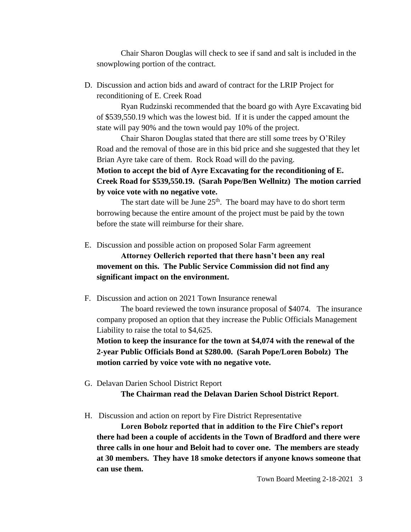Chair Sharon Douglas will check to see if sand and salt is included in the snowplowing portion of the contract.

D. Discussion and action bids and award of contract for the LRIP Project for reconditioning of E. Creek Road

Ryan Rudzinski recommended that the board go with Ayre Excavating bid of \$539,550.19 which was the lowest bid. If it is under the capped amount the state will pay 90% and the town would pay 10% of the project.

Chair Sharon Douglas stated that there are still some trees by O'Riley Road and the removal of those are in this bid price and she suggested that they let Brian Ayre take care of them. Rock Road will do the paving.

**Motion to accept the bid of Ayre Excavating for the reconditioning of E. Creek Road for \$539,550.19. (Sarah Pope/Ben Wellnitz) The motion carried by voice vote with no negative vote.**

The start date will be June  $25<sup>th</sup>$ . The board may have to do short term borrowing because the entire amount of the project must be paid by the town before the state will reimburse for their share.

E. Discussion and possible action on proposed Solar Farm agreement

**Attorney Oellerich reported that there hasn't been any real movement on this. The Public Service Commission did not find any significant impact on the environment.**

F. Discussion and action on 2021 Town Insurance renewal

The board reviewed the town insurance proposal of \$4074. The insurance company proposed an option that they increase the Public Officials Management Liability to raise the total to \$4,625.

**Motion to keep the insurance for the town at \$4,074 with the renewal of the 2-year Public Officials Bond at \$280.00. (Sarah Pope/Loren Bobolz) The motion carried by voice vote with no negative vote.**

G. Delavan Darien School District Report

**The Chairman read the Delavan Darien School District Report**.

H. Discussion and action on report by Fire District Representative

**Loren Bobolz reported that in addition to the Fire Chief's report there had been a couple of accidents in the Town of Bradford and there were three calls in one hour and Beloit had to cover one. The members are steady at 30 members. They have 18 smoke detectors if anyone knows someone that can use them.**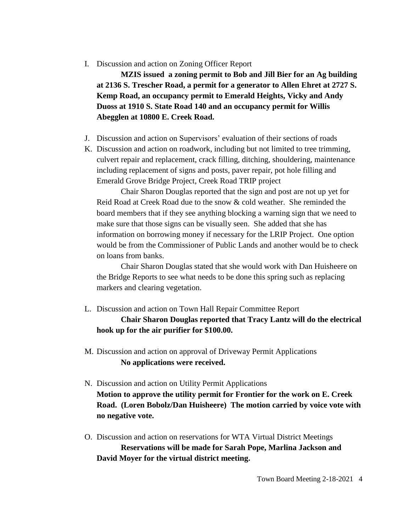## I. Discussion and action on Zoning Officer Report

**MZIS issued a zoning permit to Bob and Jill Bier for an Ag building at 2136 S. Trescher Road, a permit for a generator to Allen Ehret at 2727 S. Kemp Road, an occupancy permit to Emerald Heights, Vicky and Andy Duoss at 1910 S. State Road 140 and an occupancy permit for Willis Abegglen at 10800 E. Creek Road.**

- J. Discussion and action on Supervisors' evaluation of their sections of roads
- K. Discussion and action on roadwork, including but not limited to tree trimming, culvert repair and replacement, crack filling, ditching, shouldering, maintenance including replacement of signs and posts, paver repair, pot hole filling and Emerald Grove Bridge Project, Creek Road TRIP project

Chair Sharon Douglas reported that the sign and post are not up yet for Reid Road at Creek Road due to the snow & cold weather. She reminded the board members that if they see anything blocking a warning sign that we need to make sure that those signs can be visually seen. She added that she has information on borrowing money if necessary for the LRIP Project. One option would be from the Commissioner of Public Lands and another would be to check on loans from banks.

Chair Sharon Douglas stated that she would work with Dan Huisheere on the Bridge Reports to see what needs to be done this spring such as replacing markers and clearing vegetation.

L. Discussion and action on Town Hall Repair Committee Report **Chair Sharon Douglas reported that Tracy Lantz will do the electrical** 

**hook up for the air purifier for \$100.00.**

- M. Discussion and action on approval of Driveway Permit Applications **No applications were received.**
- N. Discussion and action on Utility Permit Applications **Motion to approve the utility permit for Frontier for the work on E. Creek Road. (Loren Bobolz/Dan Huisheere) The motion carried by voice vote with no negative vote.**
- O. Discussion and action on reservations for WTA Virtual District Meetings **Reservations will be made for Sarah Pope, Marlina Jackson and David Moyer for the virtual district meeting.**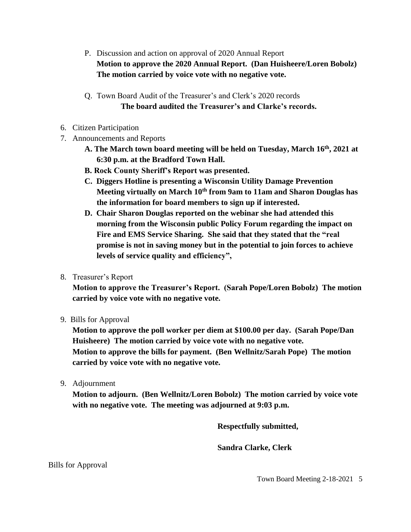- P. Discussion and action on approval of 2020 Annual Report **Motion to approve the 2020 Annual Report. (Dan Huisheere/Loren Bobolz) The motion carried by voice vote with no negative vote.**
- Q. Town Board Audit of the Treasurer's and Clerk's 2020 records **The board audited the Treasurer's and Clarke's records.**
- 6. Citizen Participation
- 7. Announcements and Reports
	- **A. The March town board meeting will be held on Tuesday, March 16th, 2021 at 6:30 p.m. at the Bradford Town Hall.**
	- **B. Rock County Sheriff's Report was presented.**
	- **C. Diggers Hotline is presenting a Wisconsin Utility Damage Prevention Meeting virtually on March 10th from 9am to 11am and Sharon Douglas has the information for board members to sign up if interested.**
	- **D. Chair Sharon Douglas reported on the webinar she had attended this morning from the Wisconsin public Policy Forum regarding the impact on**  Fire and EMS Service Sharing. She said that they stated that the "real **promise is not in saving money but in the potential to join forces to achieve levels of service quality and efficiency",**
- 8. Treasurer's Report

**Motion to approve the Treasurer's Report. (Sarah Pope/Loren Bobolz) The motion carried by voice vote with no negative vote.**

9. Bills for Approval

**Motion to approve the poll worker per diem at \$100.00 per day. (Sarah Pope/Dan Huisheere) The motion carried by voice vote with no negative vote. Motion to approve the bills for payment. (Ben Wellnitz/Sarah Pope) The motion carried by voice vote with no negative vote.**

9. Adjournment

**Motion to adjourn. (Ben Wellnitz/Loren Bobolz) The motion carried by voice vote with no negative vote. The meeting was adjourned at 9:03 p.m.**

**Respectfully submitted,**

**Sandra Clarke, Clerk**

Bills for Approval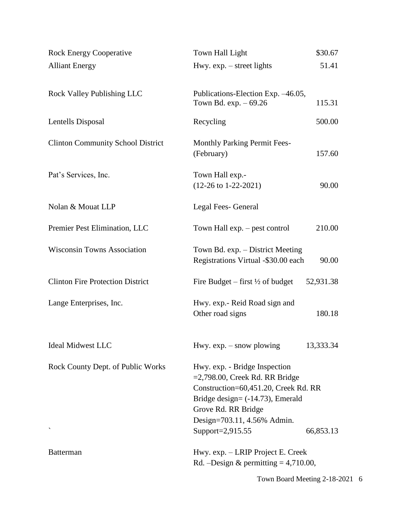| <b>Rock Energy Cooperative</b>           | \$30.67<br>Town Hall Light                                                                                                                                                                                                               |
|------------------------------------------|------------------------------------------------------------------------------------------------------------------------------------------------------------------------------------------------------------------------------------------|
| <b>Alliant Energy</b>                    | Hwy. $exp. - street$ lights<br>51.41                                                                                                                                                                                                     |
|                                          |                                                                                                                                                                                                                                          |
| <b>Rock Valley Publishing LLC</b>        | Publications-Election Exp. -46.05,<br>Town Bd. $exp. -69.26$<br>115.31                                                                                                                                                                   |
| Lentells Disposal                        | 500.00                                                                                                                                                                                                                                   |
|                                          | Recycling                                                                                                                                                                                                                                |
| <b>Clinton Community School District</b> | <b>Monthly Parking Permit Fees-</b><br>(February)<br>157.60                                                                                                                                                                              |
| Pat's Services, Inc.                     | Town Hall exp.-<br>$(12-26 \text{ to } 1-22-2021)$<br>90.00                                                                                                                                                                              |
| Nolan & Mouat LLP                        | Legal Fees- General                                                                                                                                                                                                                      |
| Premier Pest Elimination, LLC            | Town Hall exp. – pest control<br>210.00                                                                                                                                                                                                  |
| <b>Wisconsin Towns Association</b>       | Town Bd. exp. - District Meeting<br>Registrations Virtual -\$30.00 each<br>90.00                                                                                                                                                         |
| <b>Clinton Fire Protection District</b>  | 52,931.38<br>Fire Budget – first $\frac{1}{2}$ of budget                                                                                                                                                                                 |
| Lange Enterprises, Inc.                  | Hwy. exp.- Reid Road sign and<br>180.18<br>Other road signs                                                                                                                                                                              |
| <b>Ideal Midwest LLC</b>                 | 13,333.34<br>Hwy. $exp. - snow$ plowing                                                                                                                                                                                                  |
| Rock County Dept. of Public Works        | Hwy. exp. - Bridge Inspection<br>$=2,798.00$ , Creek Rd. RR Bridge<br>Construction=60,451.20, Creek Rd. RR<br>Bridge design= $(-14.73)$ , Emerald<br>Grove Rd. RR Bridge<br>Design=703.11, 4.56% Admin.<br>Support=2,915.55<br>66,853.13 |
| <b>Batterman</b>                         | Hwy. exp. – LRIP Project E. Creek<br>Rd. -Design & permitting $= 4,710.00$ ,                                                                                                                                                             |

Town Board Meeting 2-18-2021 6